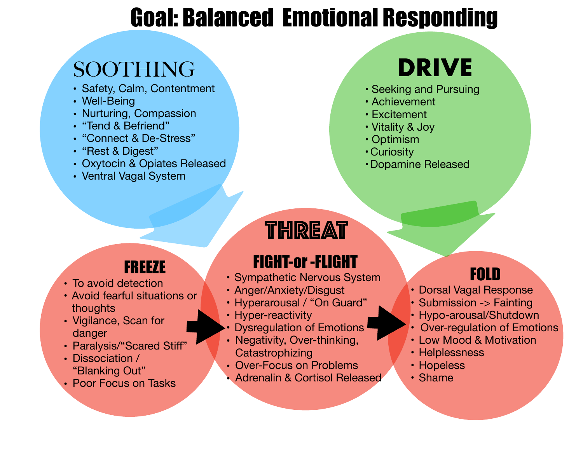## Goal: Balanced Emotional Responding

## SOOTHING

- Safety, Calm, Contentment
- Well-Being
- Nurturing, Compassion
- "Tend & Befriend"
- "Connect & De-Stress"
- "Rest & Digest"
- Oxytocin & Opiates Released
- Ventral Vagal System

# **DRIVE**

- Seeking and Pursuing
- Achievement
- Excitement
- Vitality & Joy
- Optimism
- •Curiosity
- Dopamine Released

## THREAT

### FREEZE

- To avoid detection
- Avoid fearful situations or thoughts
- Vigilance, Scan for danger
- Paralysis/"Scared Stiff"
- Dissociation / "Blanking Out"
- Poor Focus on Tasks

## FIGHT-or -FLIGHT

- Sympathetic Nervous System
- Anger/Anxiety/Disgust
- Hyperarousal / "On Guard"
- Hyper-reactivity
- Dysregulation of Emotions
- Negativity, Over-thinking, **Catastrophizing**
- Over-Focus on Problems
- Adrenalin & Cortisol Released

## FOLD

- Dorsal Vagal Response
- Submission -> Fainting
- Hypo-arousal/Shutdown
- **Over-regulation of Emotions**
- Low Mood & Motivation
- Helplessness
- Hopeless
- Shame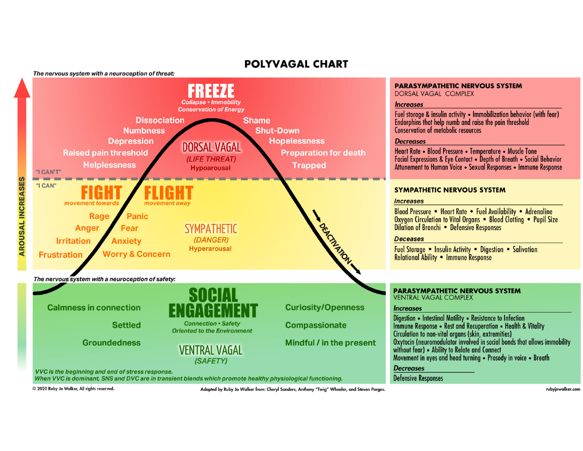#### **POLYVAGAL CHART**



© 2020 Ruby Jo Walker, All rights reserved.

Adapted by Ruby Jo Walker from: Cheryl Sanders, Anthony "Twig" Wheeler, and Steven Porges.

rubyjowalker.com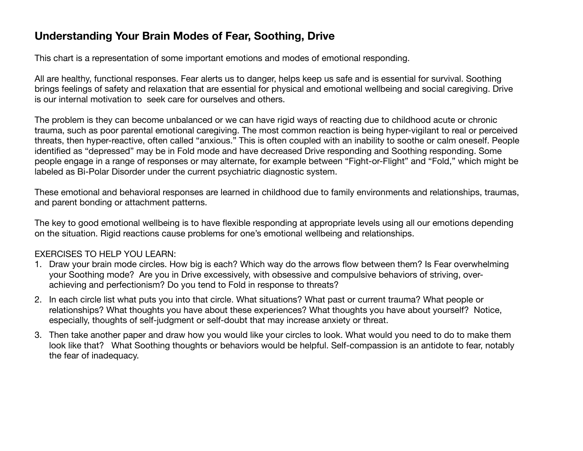### **Understanding Your Brain Modes of Fear, Soothing, Drive**

This chart is a representation of some important emotions and modes of emotional responding.

All are healthy, functional responses. Fear alerts us to danger, helps keep us safe and is essential for survival. Soothing brings feelings of safety and relaxation that are essential for physical and emotional wellbeing and social caregiving. Drive is our internal motivation to seek care for ourselves and others.

The problem is they can become unbalanced or we can have rigid ways of reacting due to childhood acute or chronic trauma, such as poor parental emotional caregiving. The most common reaction is being hyper-vigilant to real or perceived threats, then hyper-reactive, often called "anxious." This is often coupled with an inability to soothe or calm oneself. People identified as "depressed" may be in Fold mode and have decreased Drive responding and Soothing responding. Some people engage in a range of responses or may alternate, for example between "Fight-or-Flight" and "Fold," which might be labeled as Bi-Polar Disorder under the current psychiatric diagnostic system.

These emotional and behavioral responses are learned in childhood due to family environments and relationships, traumas, and parent bonding or attachment patterns.

The key to good emotional wellbeing is to have flexible responding at appropriate levels using all our emotions depending on the situation. Rigid reactions cause problems for one's emotional wellbeing and relationships.

#### EXERCISES TO HELP YOU LEARN:

- 1. Draw your brain mode circles. How big is each? Which way do the arrows flow between them? Is Fear overwhelming your Soothing mode? Are you in Drive excessively, with obsessive and compulsive behaviors of striving, overachieving and perfectionism? Do you tend to Fold in response to threats?
- 2. In each circle list what puts you into that circle. What situations? What past or current trauma? What people or relationships? What thoughts you have about these experiences? What thoughts you have about yourself? Notice, especially, thoughts of self-judgment or self-doubt that may increase anxiety or threat.
- 3. Then take another paper and draw how you would like your circles to look. What would you need to do to make them look like that? What Soothing thoughts or behaviors would be helpful. Self-compassion is an antidote to fear, notably the fear of inadequacy.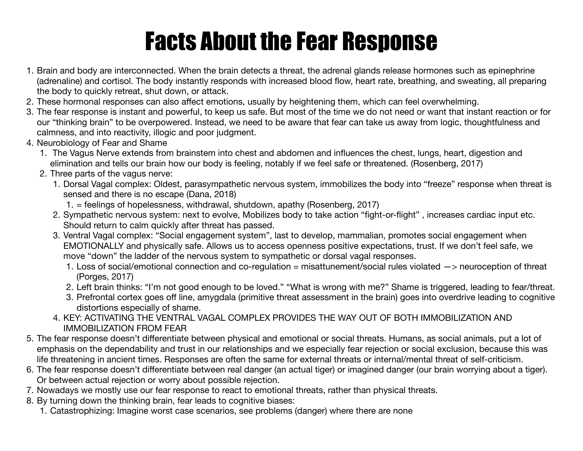# Facts About the Fear Response

- 1. Brain and body are interconnected. When the brain detects a threat, the adrenal glands release hormones such as epinephrine (adrenaline) and cortisol. The body instantly responds with increased blood flow, heart rate, breathing, and sweating, all preparing the body to quickly retreat, shut down, or attack.
- 2. These hormonal responses can also affect emotions, usually by heightening them, which can feel overwhelming.
- 3. The fear response is instant and powerful, to keep us safe. But most of the time we do not need or want that instant reaction or for our "thinking brain" to be overpowered. Instead, we need to be aware that fear can take us away from logic, thoughtfulness and calmness, and into reactivity, illogic and poor judgment.
- 4. Neurobiology of Fear and Shame
	- 1. The Vagus Nerve extends from brainstem into chest and abdomen and influences the chest, lungs, heart, digestion and elimination and tells our brain how our body is feeling, notably if we feel safe or threatened. (Rosenberg, 2017)
	- 2. Three parts of the vagus nerve:
		- 1. Dorsal Vagal complex: Oldest, parasympathetic nervous system, immobilizes the body into "freeze" response when threat is sensed and there is no escape (Dana, 2018)
			- 1. = feelings of hopelessness, withdrawal, shutdown, apathy (Rosenberg, 2017)
		- 2. Sympathetic nervous system: next to evolve, Mobilizes body to take action "fight-or-flight" , increases cardiac input etc. Should return to calm quickly after threat has passed.
		- 3. Ventral Vagal complex: "Social engagement system", last to develop, mammalian, promotes social engagement when EMOTIONALLY and physically safe. Allows us to access openness positive expectations, trust. If we don't feel safe, we move "down" the ladder of the nervous system to sympathetic or dorsal vagal responses.
			- 1. Loss of social/emotional connection and co-regulation = misattunement/social rules violated  $\rightarrow$  neuroception of threat (Porges, 2017)
			- 2. Left brain thinks: "I'm not good enough to be loved." "What is wrong with me?" Shame is triggered, leading to fear/threat.
			- 3. Prefrontal cortex goes off line, amygdala (primitive threat assessment in the brain) goes into overdrive leading to cognitive distortions especially of shame.
		- 4. KEY: ACTIVATING THE VENTRAL VAGAL COMPLEX PROVIDES THE WAY OUT OF BOTH IMMOBILIZATION AND IMMOBILIZATION FROM FEAR
- 5. The fear response doesn't differentiate between physical and emotional or social threats. Humans, as social animals, put a lot of emphasis on the dependability and trust in our relationships and we especially fear rejection or social exclusion, because this was life threatening in ancient times. Responses are often the same for external threats or internal/mental threat of self-criticism.
- 6. The fear response doesn't differentiate between real danger (an actual tiger) or imagined danger (our brain worrying about a tiger). Or between actual rejection or worry about possible rejection.
- 7. Nowadays we mostly use our fear response to react to emotional threats, rather than physical threats.
- 8. By turning down the thinking brain, fear leads to cognitive biases:
	- 1. Catastrophizing: Imagine worst case scenarios, see problems (danger) where there are none